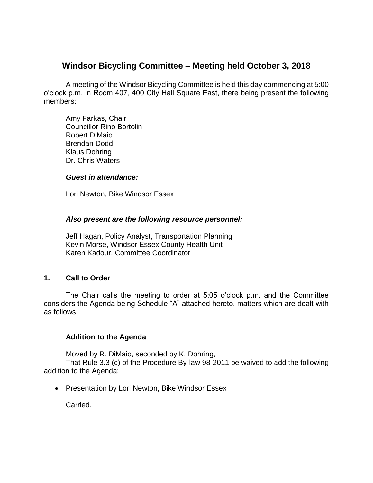# **Windsor Bicycling Committee – Meeting held October 3, 2018**

A meeting of the Windsor Bicycling Committee is held this day commencing at 5:00 o'clock p.m. in Room 407, 400 City Hall Square East, there being present the following members:

Amy Farkas, Chair Councillor Rino Bortolin Robert DiMaio Brendan Dodd Klaus Dohring Dr. Chris Waters

#### *Guest in attendance:*

Lori Newton, Bike Windsor Essex

#### *Also present are the following resource personnel:*

Jeff Hagan, Policy Analyst, Transportation Planning Kevin Morse, Windsor Essex County Health Unit Karen Kadour, Committee Coordinator

#### **1. Call to Order**

The Chair calls the meeting to order at 5:05 o'clock p.m. and the Committee considers the Agenda being Schedule "A" attached hereto, matters which are dealt with as follows:

# **Addition to the Agenda**

Moved by R. DiMaio, seconded by K. Dohring,

That Rule 3.3 (c) of the Procedure By-law 98-2011 be waived to add the following addition to the Agenda:

• Presentation by Lori Newton, Bike Windsor Essex

Carried.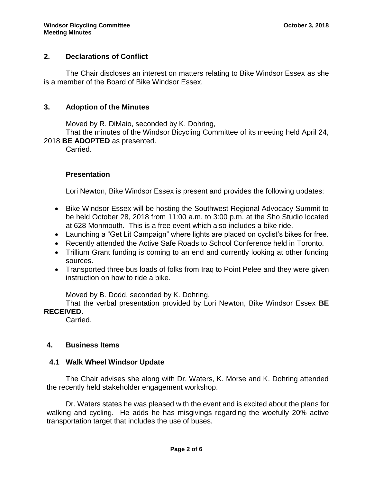# **2. Declarations of Conflict**

The Chair discloses an interest on matters relating to Bike Windsor Essex as she is a member of the Board of Bike Windsor Essex.

#### **3. Adoption of the Minutes**

Moved by R. DiMaio, seconded by K. Dohring,

That the minutes of the Windsor Bicycling Committee of its meeting held April 24, 2018 **BE ADOPTED** as presented.

Carried.

# **Presentation**

Lori Newton, Bike Windsor Essex is present and provides the following updates:

- Bike Windsor Essex will be hosting the Southwest Regional Advocacy Summit to be held October 28, 2018 from 11:00 a.m. to 3:00 p.m. at the Sho Studio located at 628 Monmouth. This is a free event which also includes a bike ride.
- Launching a "Get Lit Campaign" where lights are placed on cyclist's bikes for free.
- Recently attended the Active Safe Roads to School Conference held in Toronto.
- Trillium Grant funding is coming to an end and currently looking at other funding sources.
- Transported three bus loads of folks from Iraq to Point Pelee and they were given instruction on how to ride a bike.

Moved by B. Dodd, seconded by K. Dohring,

That the verbal presentation provided by Lori Newton, Bike Windsor Essex **BE RECEIVED.**

Carried.

# **4. Business Items**

#### **4.1 Walk Wheel Windsor Update**

The Chair advises she along with Dr. Waters, K. Morse and K. Dohring attended the recently held stakeholder engagement workshop.

Dr. Waters states he was pleased with the event and is excited about the plans for walking and cycling. He adds he has misgivings regarding the woefully 20% active transportation target that includes the use of buses.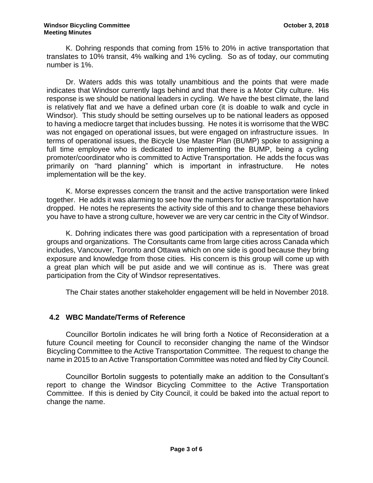K. Dohring responds that coming from 15% to 20% in active transportation that translates to 10% transit, 4% walking and 1% cycling. So as of today, our commuting number is 1%.

Dr. Waters adds this was totally unambitious and the points that were made indicates that Windsor currently lags behind and that there is a Motor City culture. His response is we should be national leaders in cycling. We have the best climate, the land is relatively flat and we have a defined urban core (it is doable to walk and cycle in Windsor). This study should be setting ourselves up to be national leaders as opposed to having a mediocre target that includes bussing. He notes it is worrisome that the WBC was not engaged on operational issues, but were engaged on infrastructure issues. In terms of operational issues, the Bicycle Use Master Plan (BUMP) spoke to assigning a full time employee who is dedicated to implementing the BUMP, being a cycling promoter/coordinator who is committed to Active Transportation. He adds the focus was primarily on "hard planning" which is important in infrastructure. He notes implementation will be the key.

K. Morse expresses concern the transit and the active transportation were linked together. He adds it was alarming to see how the numbers for active transportation have dropped. He notes he represents the activity side of this and to change these behaviors you have to have a strong culture, however we are very car centric in the City of Windsor.

K. Dohring indicates there was good participation with a representation of broad groups and organizations. The Consultants came from large cities across Canada which includes, Vancouver, Toronto and Ottawa which on one side is good because they bring exposure and knowledge from those cities. His concern is this group will come up with a great plan which will be put aside and we will continue as is. There was great participation from the City of Windsor representatives.

The Chair states another stakeholder engagement will be held in November 2018.

# **4.2 WBC Mandate/Terms of Reference**

Councillor Bortolin indicates he will bring forth a Notice of Reconsideration at a future Council meeting for Council to reconsider changing the name of the Windsor Bicycling Committee to the Active Transportation Committee. The request to change the name in 2015 to an Active Transportation Committee was noted and filed by City Council.

Councillor Bortolin suggests to potentially make an addition to the Consultant's report to change the Windsor Bicycling Committee to the Active Transportation Committee. If this is denied by City Council, it could be baked into the actual report to change the name.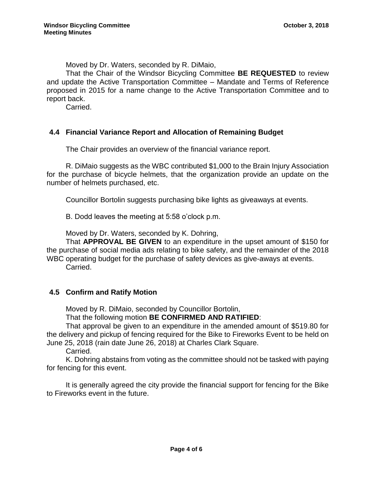Moved by Dr. Waters, seconded by R. DiMaio,

That the Chair of the Windsor Bicycling Committee **BE REQUESTED** to review and update the Active Transportation Committee – Mandate and Terms of Reference proposed in 2015 for a name change to the Active Transportation Committee and to report back.

Carried.

# **4.4 Financial Variance Report and Allocation of Remaining Budget**

The Chair provides an overview of the financial variance report.

R. DiMaio suggests as the WBC contributed \$1,000 to the Brain Injury Association for the purchase of bicycle helmets, that the organization provide an update on the number of helmets purchased, etc.

Councillor Bortolin suggests purchasing bike lights as giveaways at events.

B. Dodd leaves the meeting at 5:58 o'clock p.m.

Moved by Dr. Waters, seconded by K. Dohring,

That **APPROVAL BE GIVEN** to an expenditure in the upset amount of \$150 for the purchase of social media ads relating to bike safety, and the remainder of the 2018 WBC operating budget for the purchase of safety devices as give-aways at events. Carried.

# **4.5 Confirm and Ratify Motion**

Moved by R. DiMaio, seconded by Councillor Bortolin,

That the following motion **BE CONFIRMED AND RATIFIED**:

That approval be given to an expenditure in the amended amount of \$519.80 for the delivery and pickup of fencing required for the Bike to Fireworks Event to be held on June 25, 2018 (rain date June 26, 2018) at Charles Clark Square.

Carried.

K. Dohring abstains from voting as the committee should not be tasked with paying for fencing for this event.

It is generally agreed the city provide the financial support for fencing for the Bike to Fireworks event in the future.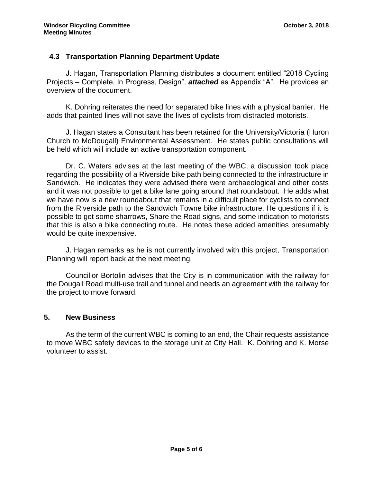# **4.3 Transportation Planning Department Update**

J. Hagan, Transportation Planning distributes a document entitled "2018 Cycling Projects – Complete, In Progress, Design", *attached* as Appendix "A". He provides an overview of the document.

K. Dohring reiterates the need for separated bike lines with a physical barrier. He adds that painted lines will not save the lives of cyclists from distracted motorists.

J. Hagan states a Consultant has been retained for the University/Victoria (Huron Church to McDougall) Environmental Assessment. He states public consultations will be held which will include an active transportation component.

Dr. C. Waters advises at the last meeting of the WBC, a discussion took place regarding the possibility of a Riverside bike path being connected to the infrastructure in Sandwich. He indicates they were advised there were archaeological and other costs and it was not possible to get a bike lane going around that roundabout. He adds what we have now is a new roundabout that remains in a difficult place for cyclists to connect from the Riverside path to the Sandwich Towne bike infrastructure. He questions if it is possible to get some sharrows, Share the Road signs, and some indication to motorists that this is also a bike connecting route. He notes these added amenities presumably would be quite inexpensive.

J. Hagan remarks as he is not currently involved with this project, Transportation Planning will report back at the next meeting.

Councillor Bortolin advises that the City is in communication with the railway for the Dougall Road multi-use trail and tunnel and needs an agreement with the railway for the project to move forward.

#### **5. New Business**

As the term of the current WBC is coming to an end, the Chair requests assistance to move WBC safety devices to the storage unit at City Hall. K. Dohring and K. Morse volunteer to assist.